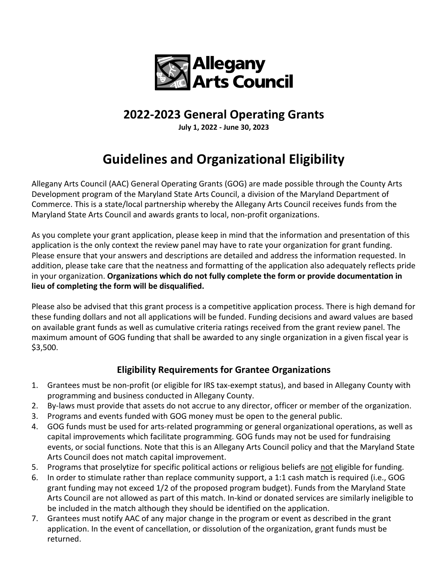

## **2022-2023 General Operating Grants**

**July 1, 2022 - June 30, 2023**

## **Guidelines and Organizational Eligibility**

Allegany Arts Council (AAC) General Operating Grants (GOG) are made possible through the County Arts Development program of the Maryland State Arts Council, a division of the Maryland Department of Commerce. This is a state/local partnership whereby the Allegany Arts Council receives funds from the Maryland State Arts Council and awards grants to local, non-profit organizations.

As you complete your grant application, please keep in mind that the information and presentation of this application is the only context the review panel may have to rate your organization for grant funding. Please ensure that your answers and descriptions are detailed and address the information requested. In addition, please take care that the neatness and formatting of the application also adequately reflects pride in your organization. **Organizations which do not fully complete the form or provide documentation in lieu of completing the form will be disqualified.** 

Please also be advised that this grant process is a competitive application process. There is high demand for these funding dollars and not all applications will be funded. Funding decisions and award values are based on available grant funds as well as cumulative criteria ratings received from the grant review panel. The maximum amount of GOG funding that shall be awarded to any single organization in a given fiscal year is \$3,500.

## **Eligibility Requirements for Grantee Organizations**

- 1. Grantees must be non-profit (or eligible for IRS tax-exempt status), and based in Allegany County with programming and business conducted in Allegany County.
- 2. By-laws must provide that assets do not accrue to any director, officer or member of the organization.
- 3. Programs and events funded with GOG money must be open to the general public.
- 4. GOG funds must be used for arts-related programming or general organizational operations, as well as capital improvements which facilitate programming. GOG funds may not be used for fundraising events, or social functions. Note that this is an Allegany Arts Council policy and that the Maryland State Arts Council does not match capital improvement.
- 5. Programs that proselytize for specific political actions or religious beliefs are not eligible for funding.
- 6. In order to stimulate rather than replace community support, a 1:1 cash match is required (i.e., GOG grant funding may not exceed 1/2 of the proposed program budget). Funds from the Maryland State Arts Council are not allowed as part of this match. In-kind or donated services are similarly ineligible to be included in the match although they should be identified on the application.
- 7. Grantees must notify AAC of any major change in the program or event as described in the grant application. In the event of cancellation, or dissolution of the organization, grant funds must be returned.